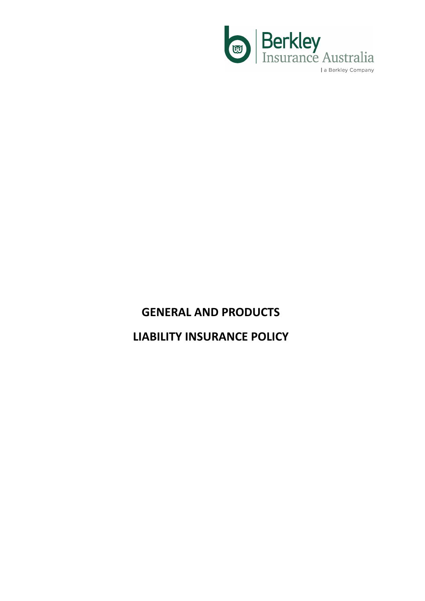

# **GENERAL AND PRODUCTS LIABILITY INSURANCE POLICY**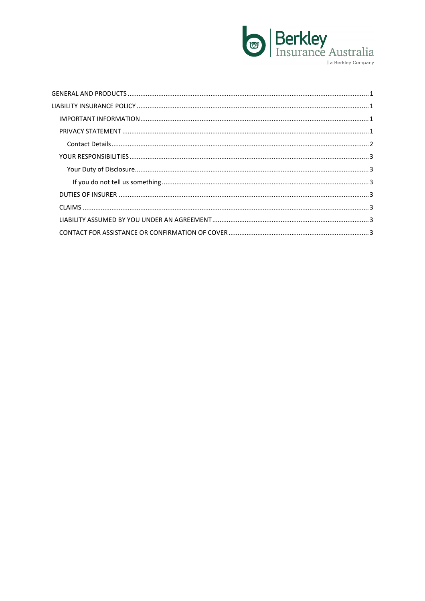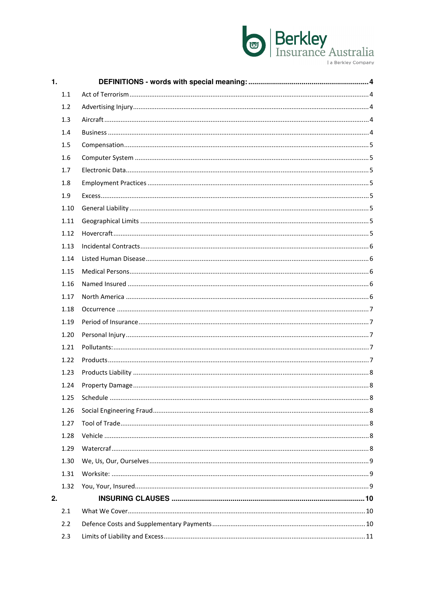# **Berkley**<br>Insurance Australia

a Berkley Company

| 1. |      |  |
|----|------|--|
|    | 1.1  |  |
|    | 1.2  |  |
|    | 1.3  |  |
|    | 1.4  |  |
|    | 1.5  |  |
|    | 1.6  |  |
|    | 1.7  |  |
|    | 1.8  |  |
|    | 1.9  |  |
|    | 1.10 |  |
|    | 1.11 |  |
|    | 1.12 |  |
|    | 1.13 |  |
|    | 1.14 |  |
|    | 1.15 |  |
|    | 1.16 |  |
|    | 1.17 |  |
|    | 1.18 |  |
|    | 1.19 |  |
|    | 1.20 |  |
|    | 1.21 |  |
|    | 1.22 |  |
|    | 1.23 |  |
|    | 1.24 |  |
|    |      |  |
|    | 1.26 |  |
|    | 1.27 |  |
|    | 1.28 |  |
|    | 1.29 |  |
|    | 1.30 |  |
|    | 1.31 |  |
|    | 1.32 |  |
| 2. |      |  |
|    | 2.1  |  |
|    | 2.2  |  |
|    | 2.3  |  |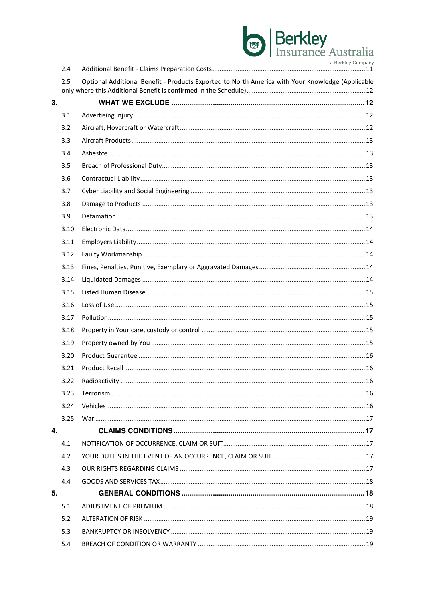# **Berkley**<br>Insurance Australia a Berkley Company

|    | 2.4  |                                                                                                  |  |
|----|------|--------------------------------------------------------------------------------------------------|--|
|    | 2.5  | Optional Additional Benefit - Products Exported to North America with Your Knowledge (Applicable |  |
| 3. |      |                                                                                                  |  |
|    | 3.1  |                                                                                                  |  |
|    | 3.2  |                                                                                                  |  |
|    | 3.3  |                                                                                                  |  |
|    | 3.4  |                                                                                                  |  |
|    | 3.5  |                                                                                                  |  |
|    | 3.6  |                                                                                                  |  |
|    | 3.7  |                                                                                                  |  |
|    | 3.8  |                                                                                                  |  |
|    | 3.9  |                                                                                                  |  |
|    | 3.10 |                                                                                                  |  |
|    | 3.11 |                                                                                                  |  |
|    | 3.12 |                                                                                                  |  |
|    | 3.13 |                                                                                                  |  |
|    | 3.14 |                                                                                                  |  |
|    | 3.15 |                                                                                                  |  |
|    | 3.16 |                                                                                                  |  |
|    | 3.17 |                                                                                                  |  |
|    | 3.18 |                                                                                                  |  |
|    | 3.19 |                                                                                                  |  |
|    | 3.20 |                                                                                                  |  |
|    | 3.21 |                                                                                                  |  |
|    | 3.22 |                                                                                                  |  |
|    | 3.23 |                                                                                                  |  |
|    | 3.24 |                                                                                                  |  |
|    | 3.25 |                                                                                                  |  |
| 4. |      |                                                                                                  |  |
|    | 4.1  |                                                                                                  |  |
|    | 4.2  |                                                                                                  |  |
|    | 4.3  |                                                                                                  |  |
|    | 4.4  |                                                                                                  |  |
| 5. |      |                                                                                                  |  |
|    | 5.1  |                                                                                                  |  |
|    | 5.2  |                                                                                                  |  |
|    | 5.3  |                                                                                                  |  |
|    | 5.4  |                                                                                                  |  |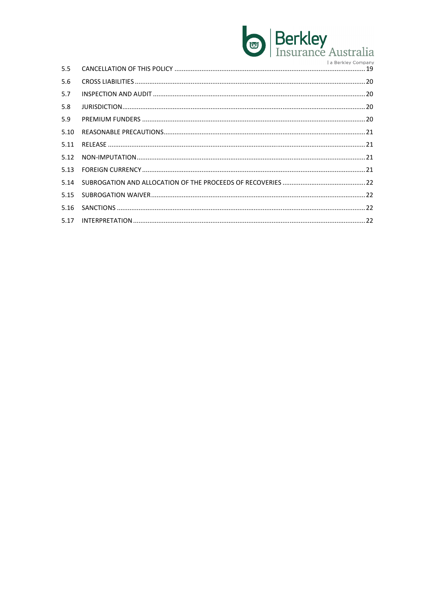# Berkley<br>Insurance Australia **Le Beattlett Ave**

| 5.5  | <b>I</b> a Delinicy Collipally |
|------|--------------------------------|
| 5.6  |                                |
| 5.7  |                                |
| 5.8  |                                |
| 5.9  |                                |
| 5.10 |                                |
| 5.11 |                                |
|      |                                |
|      |                                |
| 5.14 |                                |
| 5.15 |                                |
| 5.16 |                                |
|      |                                |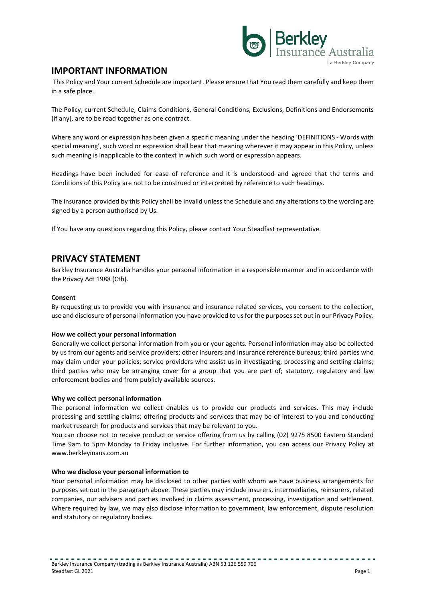

## **IMPORTANT INFORMATION**

 This Policy and Your current Schedule are important. Please ensure that You read them carefully and keep them in a safe place.

The Policy, current Schedule, Claims Conditions, General Conditions, Exclusions, Definitions and Endorsements (if any), are to be read together as one contract.

Where any word or expression has been given a specific meaning under the heading 'DEFINITIONS - Words with special meaning', such word or expression shall bear that meaning wherever it may appear in this Policy, unless such meaning is inapplicable to the context in which such word or expression appears.

Headings have been included for ease of reference and it is understood and agreed that the terms and Conditions of this Policy are not to be construed or interpreted by reference to such headings.

The insurance provided by this Policy shall be invalid unless the Schedule and any alterations to the wording are signed by a person authorised by Us.

If You have any questions regarding this Policy, please contact Your Steadfast representative.

## **PRIVACY STATEMENT**

Berkley Insurance Australia handles your personal information in a responsible manner and in accordance with the Privacy Act 1988 (Cth).

#### **Consent**

By requesting us to provide you with insurance and insurance related services, you consent to the collection, use and disclosure of personal information you have provided to us for the purposes set out in our Privacy Policy.

#### **How we collect your personal information**

Generally we collect personal information from you or your agents. Personal information may also be collected by us from our agents and service providers; other insurers and insurance reference bureaus; third parties who may claim under your policies; service providers who assist us in investigating, processing and settling claims; third parties who may be arranging cover for a group that you are part of; statutory, regulatory and law enforcement bodies and from publicly available sources.

#### **Why we collect personal information**

The personal information we collect enables us to provide our products and services. This may include processing and settling claims; offering products and services that may be of interest to you and conducting market research for products and services that may be relevant to you.

You can choose not to receive product or service offering from us by calling (02) 9275 8500 Eastern Standard Time 9am to 5pm Monday to Friday inclusive. For further information, you can access our Privacy Policy at www.berkleyinaus.com.au

#### **Who we disclose your personal information to**

Your personal information may be disclosed to other parties with whom we have business arrangements for purposes set out in the paragraph above. These parties may include insurers, intermediaries, reinsurers, related companies, our advisers and parties involved in claims assessment, processing, investigation and settlement. Where required by law, we may also disclose information to government, law enforcement, dispute resolution and statutory or regulatory bodies.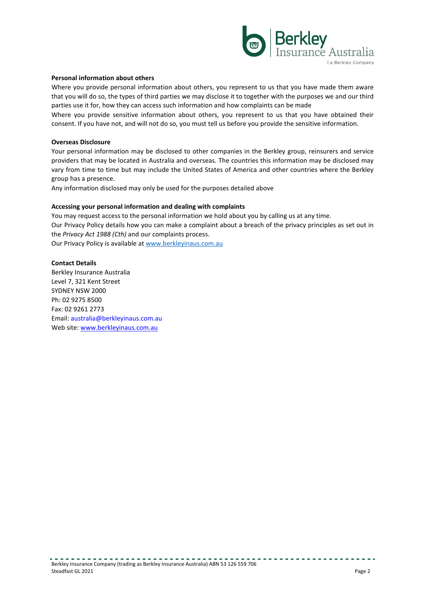

#### **Personal information about others**

Where you provide personal information about others, you represent to us that you have made them aware that you will do so, the types of third parties we may disclose it to together with the purposes we and our third parties use it for, how they can access such information and how complaints can be made

Where you provide sensitive information about others, you represent to us that you have obtained their consent. If you have not, and will not do so, you must tell us before you provide the sensitive information.

#### **Overseas Disclosure**

Your personal information may be disclosed to other companies in the Berkley group, reinsurers and service providers that may be located in Australia and overseas. The countries this information may be disclosed may vary from time to time but may include the United States of America and other countries where the Berkley group has a presence.

Any information disclosed may only be used for the purposes detailed above

#### **Accessing your personal information and dealing with complaints**

You may request access to the personal information we hold about you by calling us at any time. Our Privacy Policy details how you can make a complaint about a breach of the privacy principles as set out in the *Privacy Act 1988 (Cth)* and our complaints process. Our Privacy Policy is available at www.berkleyinaus.com.au

#### **Contact Details**

Berkley Insurance Australia Level 7, 321 Kent Street SYDNEY NSW 2000 Ph: 02 9275 8500 Fax: 02 9261 2773 Email: australia@berkleyinaus.com.au Web site: www.berkleyinaus.com.au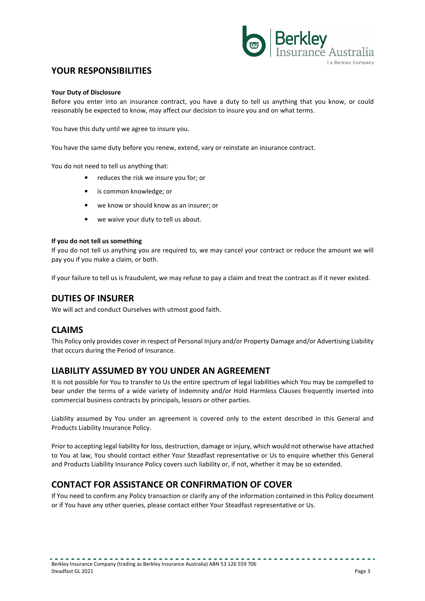

# **YOUR RESPONSIBILITIES**

#### **Your Duty of Disclosure**

Before you enter into an insurance contract, you have a duty to tell us anything that you know, or could reasonably be expected to know, may affect our decision to insure you and on what terms.

You have this duty until we agree to insure you.

You have the same duty before you renew, extend, vary or reinstate an insurance contract.

You do not need to tell us anything that:

- reduces the risk we insure you for; or
- is common knowledge; or
- we know or should know as an insurer; or
- we waive your duty to tell us about.

#### **If you do not tell us something**

If you do not tell us anything you are required to, we may cancel your contract or reduce the amount we will pay you if you make a claim, or both.

If your failure to tell us is fraudulent, we may refuse to pay a claim and treat the contract as if it never existed.

## **DUTIES OF INSURER**

We will act and conduct Ourselves with utmost good faith.

# **CLAIMS**

This Policy only provides cover in respect of Personal Injury and/or Property Damage and/or Advertising Liability that occurs during the Period of Insurance.

### **LIABILITY ASSUMED BY YOU UNDER AN AGREEMENT**

It is not possible for You to transfer to Us the entire spectrum of legal liabilities which You may be compelled to bear under the terms of a wide variety of Indemnity and/or Hold Harmless Clauses frequently inserted into commercial business contracts by principals, lessors or other parties.

Liability assumed by You under an agreement is covered only to the extent described in this General and Products Liability Insurance Policy.

Prior to accepting legal liability for loss, destruction, damage or injury, which would not otherwise have attached to You at law, You should contact either Your Steadfast representative or Us to enquire whether this General and Products Liability Insurance Policy covers such liability or, if not, whether it may be so extended.

# **CONTACT FOR ASSISTANCE OR CONFIRMATION OF COVER**

If You need to confirm any Policy transaction or clarify any of the information contained in this Policy document or if You have any other queries, please contact either Your Steadfast representative or Us.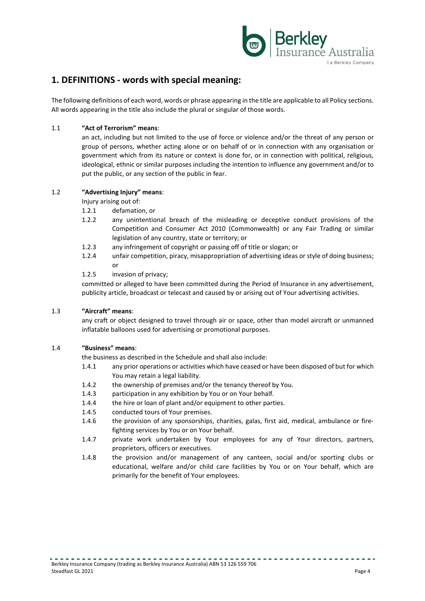

# **1. DEFINITIONS - words with special meaning:**

The following definitions of each word, words or phrase appearing in the title are applicable to all Policy sections. All words appearing in the title also include the plural or singular of those words.

#### 1.1 **"Act of Terrorism" means**:

an act, including but not limited to the use of force or violence and/or the threat of any person or group of persons, whether acting alone or on behalf of or in connection with any organisation or government which from its nature or context is done for, or in connection with political, religious, ideological, ethnic or similar purposes including the intention to influence any government and/or to put the public, or any section of the public in fear.

#### 1.2 **"Advertising Injury" means**:

Injury arising out of:

- 1.2.1 defamation, or
- 1.2.2 any unintentional breach of the misleading or deceptive conduct provisions of the Competition and Consumer Act 2010 (Commonwealth) or any Fair Trading or similar legislation of any country, state or territory; or
- 1.2.3 any infringement of copyright or passing off of title or slogan; or
- 1.2.4 unfair competition, piracy, misappropriation of advertising ideas or style of doing business; or

1.2.5 invasion of privacy;

committed or alleged to have been committed during the Period of Insurance in any advertisement, publicity article, broadcast or telecast and caused by or arising out of Your advertising activities.

#### 1.3 **"Aircraft" means**:

any craft or object designed to travel through air or space, other than model aircraft or unmanned inflatable balloons used for advertising or promotional purposes.

#### 1.4 **"Business" means**:

the business as described in the Schedule and shall also include:

- 1.4.1 any prior operations or activities which have ceased or have been disposed of but for which You may retain a legal liability.
- 1.4.2 the ownership of premises and/or the tenancy thereof by You.
- 1.4.3 participation in any exhibition by You or on Your behalf.
- 1.4.4 the hire or loan of plant and/or equipment to other parties.
- 1.4.5 conducted tours of Your premises.
- 1.4.6 the provision of any sponsorships, charities, galas, first aid, medical, ambulance or firefighting services by You or on Your behalf.
- 1.4.7 private work undertaken by Your employees for any of Your directors, partners, proprietors, officers or executives.
- 1.4.8 the provision and/or management of any canteen, social and/or sporting clubs or educational, welfare and/or child care facilities by You or on Your behalf, which are primarily for the benefit of Your employees.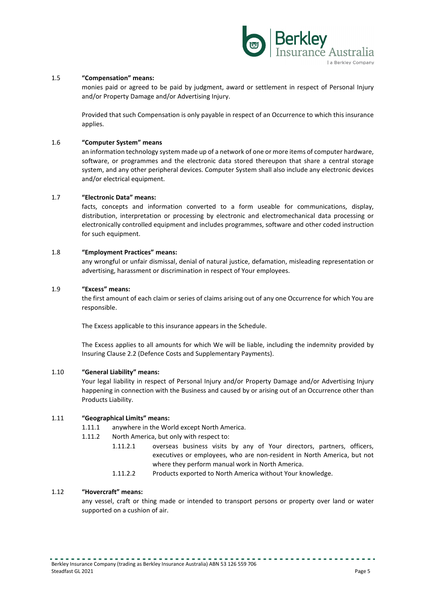

#### 1.5 **"Compensation" means:**

monies paid or agreed to be paid by judgment, award or settlement in respect of Personal Injury and/or Property Damage and/or Advertising Injury.

Provided that such Compensation is only payable in respect of an Occurrence to which this insurance applies.

#### 1.6 **"Computer System" means**

an information technology system made up of a network of one or more items of computer hardware, software, or programmes and the electronic data stored thereupon that share a central storage system, and any other peripheral devices. Computer System shall also include any electronic devices and/or electrical equipment.

#### 1.7 **"Electronic Data" means:**

facts, concepts and information converted to a form useable for communications, display, distribution, interpretation or processing by electronic and electromechanical data processing or electronically controlled equipment and includes programmes, software and other coded instruction for such equipment.

#### 1.8 **"Employment Practices" means:**

any wrongful or unfair dismissal, denial of natural justice, defamation, misleading representation or advertising, harassment or discrimination in respect of Your employees.

#### 1.9 **"Excess" means:**

the first amount of each claim or series of claims arising out of any one Occurrence for which You are responsible.

The Excess applicable to this insurance appears in the Schedule.

The Excess applies to all amounts for which We will be liable, including the indemnity provided by Insuring Clause 2.2 (Defence Costs and Supplementary Payments).

#### 1.10 **"General Liability" means:**

Your legal liability in respect of Personal Injury and/or Property Damage and/or Advertising Injury happening in connection with the Business and caused by or arising out of an Occurrence other than Products Liability.

#### 1.11 **"Geographical Limits" means:**

- 1.11.1 anywhere in the World except North America.
- 1.11.2 North America, but only with respect to:
	- 1.11.2.1 overseas business visits by any of Your directors, partners, officers, executives or employees, who are non-resident in North America, but not where they perform manual work in North America.
		- 1.11.2.2 Products exported to North America without Your knowledge.

#### 1.12 **"Hovercraft" means:**

any vessel, craft or thing made or intended to transport persons or property over land or water supported on a cushion of air.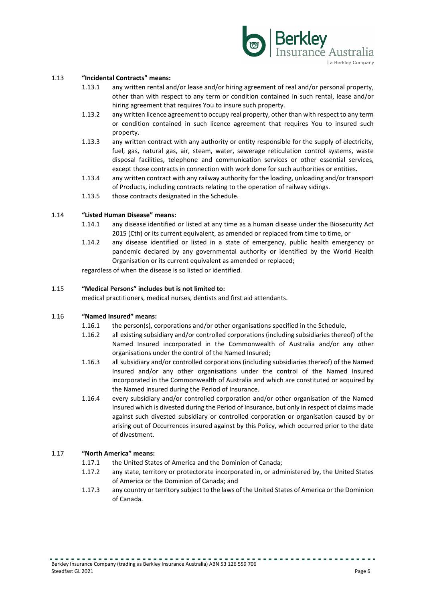

#### 1.13 **"Incidental Contracts" means:**

- 1.13.1 any written rental and/or lease and/or hiring agreement of real and/or personal property, other than with respect to any term or condition contained in such rental, lease and/or hiring agreement that requires You to insure such property.
- 1.13.2 any written licence agreement to occupy real property, other than with respect to any term or condition contained in such licence agreement that requires You to insured such property.
- 1.13.3 any written contract with any authority or entity responsible for the supply of electricity, fuel, gas, natural gas, air, steam, water, sewerage reticulation control systems, waste disposal facilities, telephone and communication services or other essential services, except those contracts in connection with work done for such authorities or entities.
- 1.13.4 any written contract with any railway authority for the loading, unloading and/or transport of Products, including contracts relating to the operation of railway sidings.
- 1.13.5 those contracts designated in the Schedule.

#### 1.14 **"Listed Human Disease" means:**

- 1.14.1 any disease identified or listed at any time as a human disease under the Biosecurity Act 2015 (Cth) or its current equivalent, as amended or replaced from time to time, or
- 1.14.2 any disease identified or listed in a state of emergency, public health emergency or pandemic declared by any governmental authority or identified by the World Health Organisation or its current equivalent as amended or replaced;

regardless of when the disease is so listed or identified.

#### 1.15 **"Medical Persons" includes but is not limited to:**

medical practitioners, medical nurses, dentists and first aid attendants.

#### 1.16 **"Named Insured" means:**

- 1.16.1 the person(s), corporations and/or other organisations specified in the Schedule,
- 1.16.2 all existing subsidiary and/or controlled corporations (including subsidiaries thereof) of the Named Insured incorporated in the Commonwealth of Australia and/or any other organisations under the control of the Named Insured;
- 1.16.3 all subsidiary and/or controlled corporations (including subsidiaries thereof) of the Named Insured and/or any other organisations under the control of the Named Insured incorporated in the Commonwealth of Australia and which are constituted or acquired by the Named Insured during the Period of Insurance.
- 1.16.4 every subsidiary and/or controlled corporation and/or other organisation of the Named Insured which is divested during the Period of Insurance, but only in respect of claims made against such divested subsidiary or controlled corporation or organisation caused by or arising out of Occurrences insured against by this Policy, which occurred prior to the date of divestment.

#### 1.17 **"North America" means:**

- 1.17.1 the United States of America and the Dominion of Canada;
- 1.17.2 any state, territory or protectorate incorporated in, or administered by, the United States of America or the Dominion of Canada; and
- 1.17.3 any country or territory subject to the laws of the United States of America or the Dominion of Canada.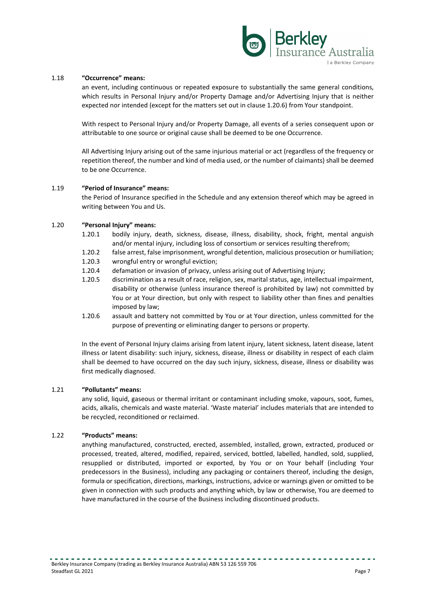

#### 1.18 **"Occurrence" means:**

an event, including continuous or repeated exposure to substantially the same general conditions, which results in Personal Injury and/or Property Damage and/or Advertising Injury that is neither expected nor intended (except for the matters set out in clause 1.20.6) from Your standpoint.

With respect to Personal Injury and/or Property Damage, all events of a series consequent upon or attributable to one source or original cause shall be deemed to be one Occurrence.

All Advertising Injury arising out of the same injurious material or act (regardless of the frequency or repetition thereof, the number and kind of media used, or the number of claimants) shall be deemed to be one Occurrence.

#### 1.19 **"Period of Insurance" means:**

the Period of Insurance specified in the Schedule and any extension thereof which may be agreed in writing between You and Us.

#### 1.20 **"Personal Injury" means:**

- 1.20.1 bodily injury, death, sickness, disease, illness, disability, shock, fright, mental anguish and/or mental injury, including loss of consortium or services resulting therefrom;
- 1.20.2 false arrest, false imprisonment, wrongful detention, malicious prosecution or humiliation;
- 1.20.3 wrongful entry or wrongful eviction;
- 1.20.4 defamation or invasion of privacy, unless arising out of Advertising Injury;
- 1.20.5 discrimination as a result of race, religion, sex, marital status, age, intellectual impairment, disability or otherwise (unless insurance thereof is prohibited by law) not committed by You or at Your direction, but only with respect to liability other than fines and penalties imposed by law;
- 1.20.6 assault and battery not committed by You or at Your direction, unless committed for the purpose of preventing or eliminating danger to persons or property.

In the event of Personal Injury claims arising from latent injury, latent sickness, latent disease, latent illness or latent disability: such injury, sickness, disease, illness or disability in respect of each claim shall be deemed to have occurred on the day such injury, sickness, disease, illness or disability was first medically diagnosed.

#### 1.21 **"Pollutants" means:**

any solid, liquid, gaseous or thermal irritant or contaminant including smoke, vapours, soot, fumes, acids, alkalis, chemicals and waste material. 'Waste material' includes materials that are intended to be recycled, reconditioned or reclaimed.

#### 1.22 **"Products" means:**

anything manufactured, constructed, erected, assembled, installed, grown, extracted, produced or processed, treated, altered, modified, repaired, serviced, bottled, labelled, handled, sold, supplied, resupplied or distributed, imported or exported, by You or on Your behalf (including Your predecessors in the Business), including any packaging or containers thereof, including the design, formula or specification, directions, markings, instructions, advice or warnings given or omitted to be given in connection with such products and anything which, by law or otherwise, You are deemed to have manufactured in the course of the Business including discontinued products.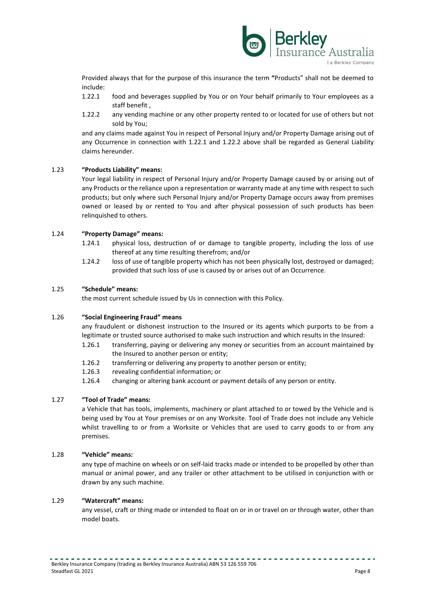

Provided always that for the purpose of this insurance the term **"**Products" shall not be deemed to include:

- 1.22.1 food and beverages supplied by You or on Your behalf primarily to Your employees as a staff benefit ,
- 1.22.2 any vending machine or any other property rented to or located for use of others but not sold by You;

and any claims made against You in respect of Personal Injury and/or Property Damage arising out of any Occurrence in connection with 1.22.1 and 1.22.2 above shall be regarded as General Liability claims hereunder.

#### 1.23 **"Products Liability" means:**

Your legal liability in respect of Personal Injury and/or Property Damage caused by or arising out of any Products or the reliance upon a representation or warranty made at any time with respect to such products; but only where such Personal Injury and/or Property Damage occurs away from premises owned or leased by or rented to You and after physical possession of such products has been relinquished to others.

#### 1.24 **"Property Damage" means:**

- 1.24.1 physical loss, destruction of or damage to tangible property, including the loss of use thereof at any time resulting therefrom; and/or
- 1.24.2 loss of use of tangible property which has not been physically lost, destroyed or damaged; provided that such loss of use is caused by or arises out of an Occurrence.

#### 1.25 **"Schedule" means:**

the most current schedule issued by Us in connection with this Policy.

#### 1.26 **"Social Engineering Fraud" means**

any fraudulent or dishonest instruction to the Insured or its agents which purports to be from a legitimate or trusted source authorised to make such instruction and which results in the Insured:

- 1.26.1 transferring, paying or delivering any money or securities from an account maintained by the Insured to another person or entity;
- 1.26.2 transferring or delivering any property to another person or entity;
- 1.26.3 revealing confidential information; or
- 1.26.4 changing or altering bank account or payment details of any person or entity.

#### 1.27 **"Tool of Trade" means:**

a Vehicle that has tools, implements, machinery or plant attached to or towed by the Vehicle and is being used by You at Your premises or on any Worksite. Tool of Trade does not include any Vehicle whilst travelling to or from a Worksite or Vehicles that are used to carry goods to or from any premises.

#### 1.28 **"Vehicle" means:**

any type of machine on wheels or on self-laid tracks made or intended to be propelled by other than manual or animal power, and any trailer or other attachment to be utilised in conjunction with or drawn by any such machine.

#### 1.29 **"Watercraft" means:**

any vessel, craft or thing made or intended to float on or in or travel on or through water, other than model boats.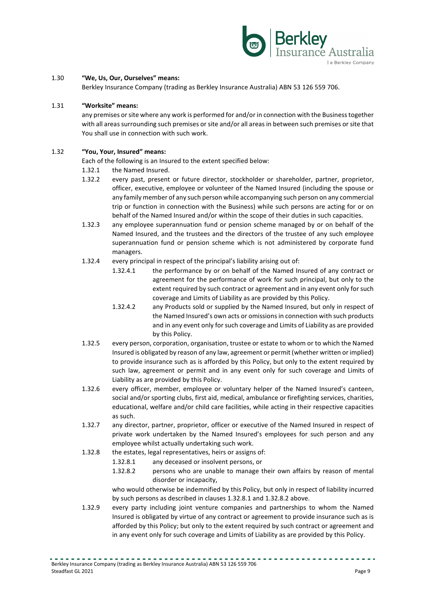

#### 1.30 **"We, Us, Our, Ourselves" means:**

Berkley Insurance Company (trading as Berkley Insurance Australia) ABN 53 126 559 706.

#### 1.31 **"Worksite" means:**

any premises or site where any work is performed for and/or in connection with the Business together with all areas surrounding such premises or site and/or all areas in between such premises or site that You shall use in connection with such work.

#### 1.32 **"You, Your, Insured" means:**

Each of the following is an Insured to the extent specified below:

- 1.32.1 the Named Insured.
- 1.32.2 every past, present or future director, stockholder or shareholder, partner, proprietor, officer, executive, employee or volunteer of the Named Insured (including the spouse or any family member of any such person while accompanying such person on any commercial trip or function in connection with the Business) while such persons are acting for or on behalf of the Named Insured and/or within the scope of their duties in such capacities.
- 1.32.3 any employee superannuation fund or pension scheme managed by or on behalf of the Named Insured, and the trustees and the directors of the trustee of any such employee superannuation fund or pension scheme which is not administered by corporate fund managers.
- 1.32.4 every principal in respect of the principal's liability arising out of:
	- 1.32.4.1 the performance by or on behalf of the Named Insured of any contract or agreement for the performance of work for such principal, but only to the extent required by such contract or agreement and in any event only for such coverage and Limits of Liability as are provided by this Policy.
	- 1.32.4.2 any Products sold or supplied by the Named Insured, but only in respect of the Named Insured's own acts or omissions in connection with such products and in any event only for such coverage and Limits of Liability as are provided by this Policy.
- 1.32.5 every person, corporation, organisation, trustee or estate to whom or to which the Named Insured is obligated by reason of any law, agreement or permit (whether written or implied) to provide insurance such as is afforded by this Policy, but only to the extent required by such law, agreement or permit and in any event only for such coverage and Limits of Liability as are provided by this Policy.
- 1.32.6 every officer, member, employee or voluntary helper of the Named Insured's canteen, social and/or sporting clubs, first aid, medical, ambulance or firefighting services, charities, educational, welfare and/or child care facilities, while acting in their respective capacities as such.
- 1.32.7 any director, partner, proprietor, officer or executive of the Named Insured in respect of private work undertaken by the Named Insured's employees for such person and any employee whilst actually undertaking such work.
- 1.32.8 the estates, legal representatives, heirs or assigns of:
	- 1.32.8.1 any deceased or insolvent persons, or
	- 1.32.8.2 persons who are unable to manage their own affairs by reason of mental disorder or incapacity,

who would otherwise be indemnified by this Policy, but only in respect of liability incurred by such persons as described in clauses 1.32.8.1 and 1.32.8.2 above.

1.32.9 every party including joint venture companies and partnerships to whom the Named Insured is obligated by virtue of any contract or agreement to provide insurance such as is afforded by this Policy; but only to the extent required by such contract or agreement and in any event only for such coverage and Limits of Liability as are provided by this Policy.

. . . . . . . . . . . . . . . . . .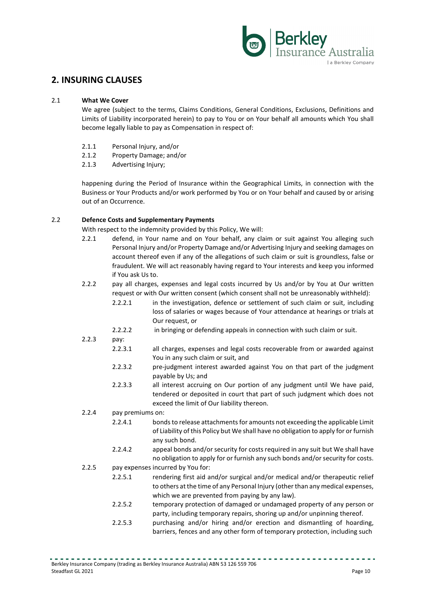

# **2. INSURING CLAUSES**

#### 2.1 **What We Cover**

We agree (subject to the terms, Claims Conditions, General Conditions, Exclusions, Definitions and Limits of Liability incorporated herein) to pay to You or on Your behalf all amounts which You shall become legally liable to pay as Compensation in respect of:

- 2.1.1 Personal Injury, and/or
- 2.1.2 Property Damage; and/or
- 2.1.3 Advertising Injury;

happening during the Period of Insurance within the Geographical Limits, in connection with the Business or Your Products and/or work performed by You or on Your behalf and caused by or arising out of an Occurrence.

#### 2.2 **Defence Costs and Supplementary Payments**

With respect to the indemnity provided by this Policy, We will:

- 2.2.1 defend, in Your name and on Your behalf, any claim or suit against You alleging such Personal Injury and/or Property Damage and/or Advertising Injury and seeking damages on account thereof even if any of the allegations of such claim or suit is groundless, false or fraudulent. We will act reasonably having regard to Your interests and keep you informed if You ask Us to.
- 2.2.2 pay all charges, expenses and legal costs incurred by Us and/or by You at Our written request or with Our written consent (which consent shall not be unreasonably withheld):
	- 2.2.2.1 in the investigation, defence or settlement of such claim or suit, including loss of salaries or wages because of Your attendance at hearings or trials at Our request, or
	- 2.2.2.2 in bringing or defending appeals in connection with such claim or suit.
- 2.2.3 pay:
	- 2.2.3.1 all charges, expenses and legal costs recoverable from or awarded against You in any such claim or suit, and
	- 2.2.3.2 pre-judgment interest awarded against You on that part of the judgment payable by Us; and
	- 2.2.3.3 all interest accruing on Our portion of any judgment until We have paid, tendered or deposited in court that part of such judgment which does not exceed the limit of Our liability thereon.
- 2.2.4 pay premiums on:
	- 2.2.4.1 bonds to release attachments for amounts not exceeding the applicable Limit of Liability of this Policy but We shall have no obligation to apply for or furnish any such bond.
	- 2.2.4.2 appeal bonds and/or security for costs required in any suit but We shall have no obligation to apply for or furnish any such bonds and/or security for costs.
- 2.2.5 pay expenses incurred by You for:
	- 2.2.5.1 rendering first aid and/or surgical and/or medical and/or therapeutic relief to others at the time of any Personal Injury (other than any medical expenses, which we are prevented from paying by any law).
	- 2.2.5.2 temporary protection of damaged or undamaged property of any person or party, including temporary repairs, shoring up and/or unpinning thereof.
	- 2.2.5.3 purchasing and/or hiring and/or erection and dismantling of hoarding, barriers, fences and any other form of temporary protection, including such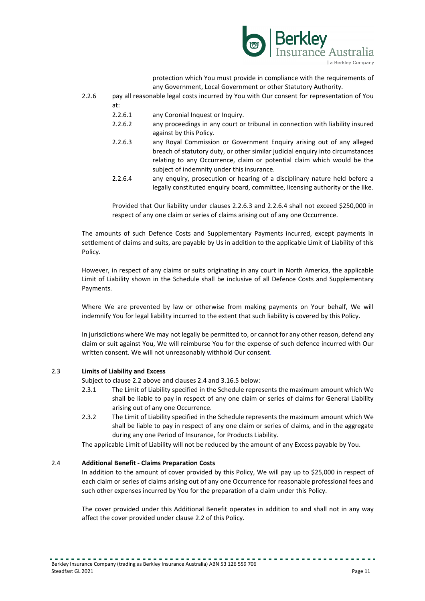

protection which You must provide in compliance with the requirements of any Government, Local Government or other Statutory Authority.

- 2.2.6 pay all reasonable legal costs incurred by You with Our consent for representation of You at:
	- 2.2.6.1 any Coronial Inquest or Inquiry.
	- 2.2.6.2 any proceedings in any court or tribunal in connection with liability insured against by this Policy.
	- 2.2.6.3 any Royal Commission or Government Enquiry arising out of any alleged breach of statutory duty, or other similar judicial enquiry into circumstances relating to any Occurrence, claim or potential claim which would be the subject of indemnity under this insurance.
	- 2.2.6.4 any enquiry, prosecution or hearing of a disciplinary nature held before a legally constituted enquiry board, committee, licensing authority or the like.

Provided that Our liability under clauses 2.2.6.3 and 2.2.6.4 shall not exceed \$250,000 in respect of any one claim or series of claims arising out of any one Occurrence.

The amounts of such Defence Costs and Supplementary Payments incurred, except payments in settlement of claims and suits, are payable by Us in addition to the applicable Limit of Liability of this Policy.

However, in respect of any claims or suits originating in any court in North America, the applicable Limit of Liability shown in the Schedule shall be inclusive of all Defence Costs and Supplementary Payments.

Where We are prevented by law or otherwise from making payments on Your behalf, We will indemnify You for legal liability incurred to the extent that such liability is covered by this Policy.

In jurisdictions where We may not legally be permitted to, or cannot for any other reason, defend any claim or suit against You, We will reimburse You for the expense of such defence incurred with Our written consent. We will not unreasonably withhold Our consent.

#### 2.3 **Limits of Liability and Excess**

Subject to clause 2.2 above and clauses 2.4 and 3.16.5 below:

- 2.3.1 The Limit of Liability specified in the Schedule represents the maximum amount which We shall be liable to pay in respect of any one claim or series of claims for General Liability arising out of any one Occurrence.
- 2.3.2 The Limit of Liability specified in the Schedule represents the maximum amount which We shall be liable to pay in respect of any one claim or series of claims, and in the aggregate during any one Period of Insurance, for Products Liability.

The applicable Limit of Liability will not be reduced by the amount of any Excess payable by You.

#### 2.4 **Additional Benefit - Claims Preparation Costs**

In addition to the amount of cover provided by this Policy, We will pay up to \$25,000 in respect of each claim or series of claims arising out of any one Occurrence for reasonable professional fees and such other expenses incurred by You for the preparation of a claim under this Policy.

The cover provided under this Additional Benefit operates in addition to and shall not in any way affect the cover provided under clause 2.2 of this Policy.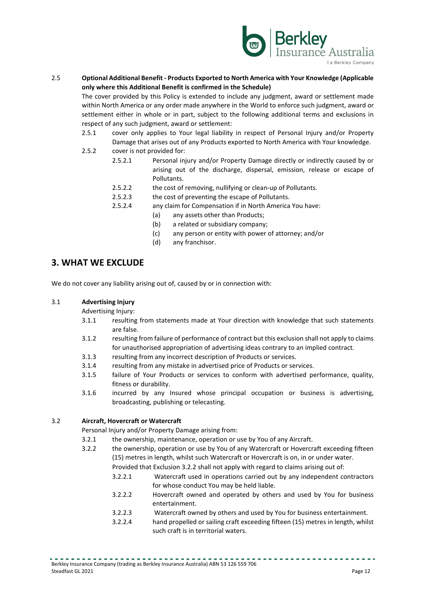

#### 2.5 **Optional Additional Benefit - Products Exported to North America with Your Knowledge (Applicable only where this Additional Benefit is confirmed in the Schedule)**

The cover provided by this Policy is extended to include any judgment, award or settlement made within North America or any order made anywhere in the World to enforce such judgment, award or settlement either in whole or in part, subject to the following additional terms and exclusions in respect of any such judgment, award or settlement:

- 2.5.1 cover only applies to Your legal liability in respect of Personal Injury and/or Property Damage that arises out of any Products exported to North America with Your knowledge. 2.5.2 cover is not provided for:
	- 2.5.2.1 Personal injury and/or Property Damage directly or indirectly caused by or arising out of the discharge, dispersal, emission, release or escape of Pollutants.
		- 2.5.2.2 the cost of removing, nullifying or clean-up of Pollutants.
		- 2.5.2.3 the cost of preventing the escape of Pollutants.
		- 2.5.2.4 any claim for Compensation if in North America You have:
			- (a) any assets other than Products;
			- (b) a related or subsidiary company;
			- (c) any person or entity with power of attorney; and/or
			- (d) any franchisor.

# **3. WHAT WE EXCLUDE**

We do not cover any liability arising out of, caused by or in connection with:

#### 3.1 **Advertising Injury**

Advertising Injury:

- 3.1.1 resulting from statements made at Your direction with knowledge that such statements are false.
- 3.1.2 resulting from failure of performance of contract but this exclusion shall not apply to claims for unauthorised appropriation of advertising ideas contrary to an implied contract.
- 3.1.3 resulting from any incorrect description of Products or services.
- 3.1.4 resulting from any mistake in advertised price of Products or services.
- 3.1.5 failure of Your Products or services to conform with advertised performance, quality, fitness or durability.
- 3.1.6 incurred by any Insured whose principal occupation or business is advertising, broadcasting, publishing or telecasting.

#### 3.2 **Aircraft, Hovercraft or Watercraft**

Personal Injury and/or Property Damage arising from:

- 3.2.1 the ownership, maintenance, operation or use by You of any Aircraft.
- 3.2.2 the ownership, operation or use by You of any Watercraft or Hovercraft exceeding fifteen (15) metres in length, whilst such Watercraft or Hovercraft is on, in or under water.

Provided that Exclusion 3.2.2 shall not apply with regard to claims arising out of:

- 3.2.2.1 Watercraft used in operations carried out by any independent contractors for whose conduct You may be held liable.
- 3.2.2.2 Hovercraft owned and operated by others and used by You for business entertainment.
- 3.2.2.3 Watercraft owned by others and used by You for business entertainment.
- 3.2.2.4 hand propelled or sailing craft exceeding fifteen (15) metres in length, whilst such craft is in territorial waters.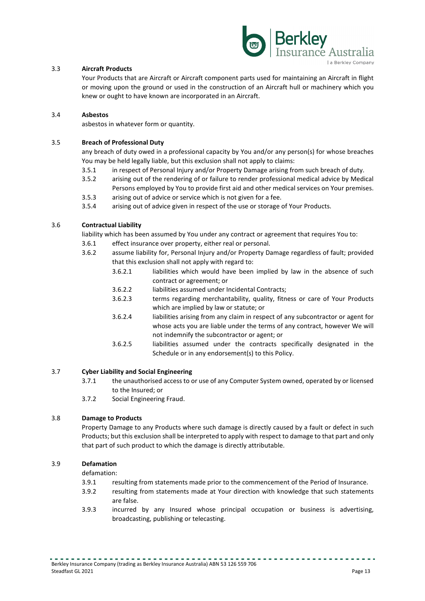

#### 3.3 **Aircraft Products**

Your Products that are Aircraft or Aircraft component parts used for maintaining an Aircraft in flight or moving upon the ground or used in the construction of an Aircraft hull or machinery which you knew or ought to have known are incorporated in an Aircraft.

#### 3.4 **Asbestos**

asbestos in whatever form or quantity.

#### 3.5 **Breach of Professional Duty**

any breach of duty owed in a professional capacity by You and/or any person(s) for whose breaches You may be held legally liable, but this exclusion shall not apply to claims:

- 3.5.1 in respect of Personal Injury and/or Property Damage arising from such breach of duty.
- 3.5.2 arising out of the rendering of or failure to render professional medical advice by Medical
- Persons employed by You to provide first aid and other medical services on Your premises. 3.5.3 arising out of advice or service which is not given for a fee.
- 3.5.4 arising out of advice given in respect of the use or storage of Your Products.

#### 3.6 **Contractual Liability**

liability which has been assumed by You under any contract or agreement that requires You to:

- 3.6.1 effect insurance over property, either real or personal.
- 3.6.2 assume liability for, Personal Injury and/or Property Damage regardless of fault; provided that this exclusion shall not apply with regard to:
	- 3.6.2.1 liabilities which would have been implied by law in the absence of such contract or agreement; or
	- 3.6.2.2 liabilities assumed under Incidental Contracts;
	- 3.6.2.3 terms regarding merchantability, quality, fitness or care of Your Products which are implied by law or statute; or
	- 3.6.2.4 liabilities arising from any claim in respect of any subcontractor or agent for whose acts you are liable under the terms of any contract, however We will not indemnify the subcontractor or agent; or
	- 3.6.2.5 liabilities assumed under the contracts specifically designated in the Schedule or in any endorsement(s) to this Policy.

#### 3.7 **Cyber Liability and Social Engineering**

- 3.7.1 the unauthorised access to or use of any Computer System owned, operated by or licensed to the Insured; or
- 3.7.2 Social Engineering Fraud.

#### 3.8 **Damage to Products**

Property Damage to any Products where such damage is directly caused by a fault or defect in such Products; but this exclusion shall be interpreted to apply with respect to damage to that part and only that part of such product to which the damage is directly attributable.

#### 3.9 **Defamation**

defamation:

- 3.9.1 resulting from statements made prior to the commencement of the Period of Insurance.
- 3.9.2 resulting from statements made at Your direction with knowledge that such statements are false.
- 3.9.3 incurred by any Insured whose principal occupation or business is advertising, broadcasting, publishing or telecasting.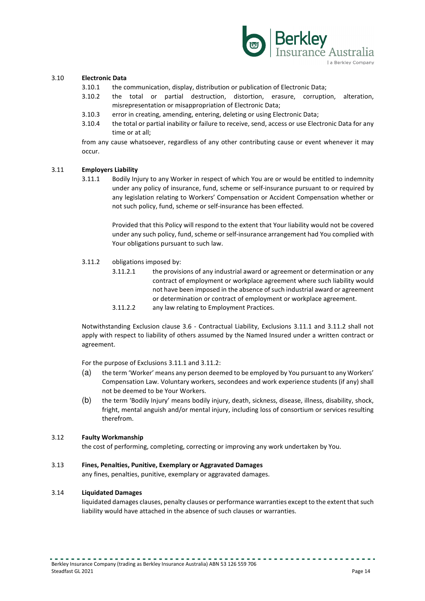

#### 3.10 **Electronic Data**

- 3.10.1 the communication, display, distribution or publication of Electronic Data;
- 3.10.2 the total or partial destruction, distortion, erasure, corruption, alteration, misrepresentation or misappropriation of Electronic Data;
- 3.10.3 error in creating, amending, entering, deleting or using Electronic Data;
- 3.10.4 the total or partial inability or failure to receive, send, access or use Electronic Data for any time or at all;

from any cause whatsoever, regardless of any other contributing cause or event whenever it may occur.

#### 3.11 **Employers Liability**

3.11.1 Bodily Injury to any Worker in respect of which You are or would be entitled to indemnity under any policy of insurance, fund, scheme or self-insurance pursuant to or required by any legislation relating to Workers' Compensation or Accident Compensation whether or not such policy, fund, scheme or self-insurance has been effected.

> Provided that this Policy will respond to the extent that Your liability would not be covered under any such policy, fund, scheme or self-insurance arrangement had You complied with Your obligations pursuant to such law.

- 3.11.2 obligations imposed by:
	- 3.11.2.1 the provisions of any industrial award or agreement or determination or any contract of employment or workplace agreement where such liability would not have been imposed in the absence of such industrial award or agreement or determination or contract of employment or workplace agreement.
	- 3.11.2.2 any law relating to Employment Practices.

Notwithstanding Exclusion clause 3.6 - Contractual Liability, Exclusions 3.11.1 and 3.11.2 shall not apply with respect to liability of others assumed by the Named Insured under a written contract or agreement.

For the purpose of Exclusions 3.11.1 and 3.11.2:

- (a) the term 'Worker' means any person deemed to be employed by You pursuant to any Workers' Compensation Law. Voluntary workers, secondees and work experience students (if any) shall not be deemed to be Your Workers.
- (b) the term 'Bodily Injury' means bodily injury, death, sickness, disease, illness, disability, shock, fright, mental anguish and/or mental injury, including loss of consortium or services resulting therefrom.

#### 3.12 **Faulty Workmanship**

the cost of performing, completing, correcting or improving any work undertaken by You.

#### 3.13 **Fines, Penalties, Punitive, Exemplary or Aggravated Damages**

any fines, penalties, punitive, exemplary or aggravated damages.

#### 3.14 **Liquidated Damages**

liquidated damages clauses, penalty clauses or performance warranties except to the extent that such liability would have attached in the absence of such clauses or warranties.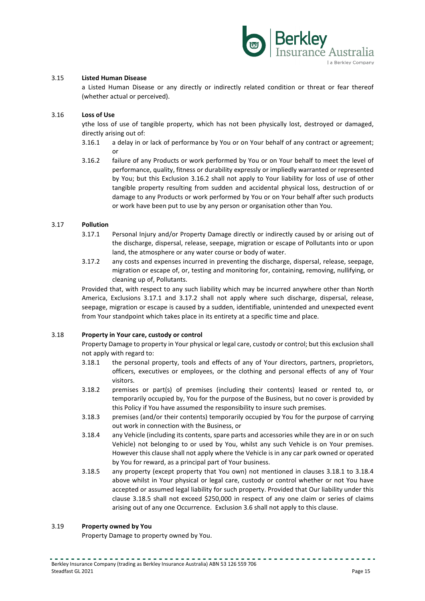

#### 3.15 **Listed Human Disease**

a Listed Human Disease or any directly or indirectly related condition or threat or fear thereof (whether actual or perceived).

#### 3.16 **Loss of Use**

ythe loss of use of tangible property, which has not been physically lost, destroyed or damaged, directly arising out of:

- 3.16.1 a delay in or lack of performance by You or on Your behalf of any contract or agreement; or
- 3.16.2 failure of any Products or work performed by You or on Your behalf to meet the level of performance, quality, fitness or durability expressly or impliedly warranted or represented by You; but this Exclusion 3.16.2 shall not apply to Your liability for loss of use of other tangible property resulting from sudden and accidental physical loss, destruction of or damage to any Products or work performed by You or on Your behalf after such products or work have been put to use by any person or organisation other than You.

#### 3.17 **Pollution**

- 3.17.1 Personal Injury and/or Property Damage directly or indirectly caused by or arising out of the discharge, dispersal, release, seepage, migration or escape of Pollutants into or upon land, the atmosphere or any water course or body of water.
- 3.17.2 any costs and expenses incurred in preventing the discharge, dispersal, release, seepage, migration or escape of, or, testing and monitoring for, containing, removing, nullifying, or cleaning up of, Pollutants.

Provided that, with respect to any such liability which may be incurred anywhere other than North America, Exclusions 3.17.1 and 3.17.2 shall not apply where such discharge, dispersal, release, seepage, migration or escape is caused by a sudden, identifiable, unintended and unexpected event from Your standpoint which takes place in its entirety at a specific time and place.

#### 3.18 **Property in Your care, custody or control**

Property Damage to property in Your physical or legal care, custody or control; but this exclusion shall not apply with regard to:

- 3.18.1 the personal property, tools and effects of any of Your directors, partners, proprietors, officers, executives or employees, or the clothing and personal effects of any of Your visitors.
- 3.18.2 premises or part(s) of premises (including their contents) leased or rented to, or temporarily occupied by, You for the purpose of the Business, but no cover is provided by this Policy if You have assumed the responsibility to insure such premises.
- 3.18.3 premises (and/or their contents) temporarily occupied by You for the purpose of carrying out work in connection with the Business, or
- 3.18.4 any Vehicle (including its contents, spare parts and accessories while they are in or on such Vehicle) not belonging to or used by You, whilst any such Vehicle is on Your premises. However this clause shall not apply where the Vehicle is in any car park owned or operated by You for reward, as a principal part of Your business.
- 3.18.5 any property (except property that You own) not mentioned in clauses 3.18.1 to 3.18.4 above whilst in Your physical or legal care, custody or control whether or not You have accepted or assumed legal liability for such property. Provided that Our liability under this clause 3.18.5 shall not exceed \$250,000 in respect of any one claim or series of claims arising out of any one Occurrence. Exclusion 3.6 shall not apply to this clause.

#### 3.19 **Property owned by You**

Property Damage to property owned by You.

. <u>. . . . . . . . . . . . . .</u> .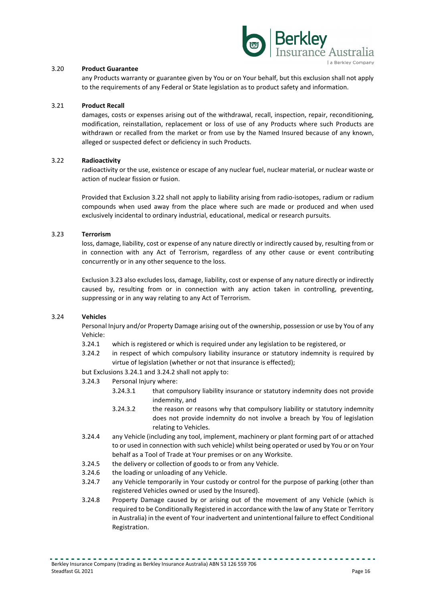

#### 3.20 **Product Guarantee**

any Products warranty or guarantee given by You or on Your behalf, but this exclusion shall not apply to the requirements of any Federal or State legislation as to product safety and information.

#### 3.21 **Product Recall**

damages, costs or expenses arising out of the withdrawal, recall, inspection, repair, reconditioning, modification, reinstallation, replacement or loss of use of any Products where such Products are withdrawn or recalled from the market or from use by the Named Insured because of any known, alleged or suspected defect or deficiency in such Products.

#### 3.22 **Radioactivity**

radioactivity or the use, existence or escape of any nuclear fuel, nuclear material, or nuclear waste or action of nuclear fission or fusion.

Provided that Exclusion 3.22 shall not apply to liability arising from radio-isotopes, radium or radium compounds when used away from the place where such are made or produced and when used exclusively incidental to ordinary industrial, educational, medical or research pursuits.

#### 3.23 **Terrorism**

loss, damage, liability, cost or expense of any nature directly or indirectly caused by, resulting from or in connection with any Act of Terrorism, regardless of any other cause or event contributing concurrently or in any other sequence to the loss.

Exclusion 3.23 also excludes loss, damage, liability, cost or expense of any nature directly or indirectly caused by, resulting from or in connection with any action taken in controlling, preventing, suppressing or in any way relating to any Act of Terrorism.

#### 3.24 **Vehicles**

Personal Injury and/or Property Damage arising out of the ownership, possession or use by You of any Vehicle:

- 3.24.1 which is registered or which is required under any legislation to be registered, or
- 3.24.2 in respect of which compulsory liability insurance or statutory indemnity is required by virtue of legislation (whether or not that insurance is effected);

but Exclusions 3.24.1 and 3.24.2 shall not apply to:

- 3.24.3 Personal Injury where:
	- 3.24.3.1 that compulsory liability insurance or statutory indemnity does not provide indemnity, and
	- 3.24.3.2 the reason or reasons why that compulsory liability or statutory indemnity does not provide indemnity do not involve a breach by You of legislation relating to Vehicles.
- 3.24.4 any Vehicle (including any tool, implement, machinery or plant forming part of or attached to or used in connection with such vehicle) whilst being operated or used by You or on Your behalf as a Tool of Trade at Your premises or on any Worksite.
- 3.24.5 the delivery or collection of goods to or from any Vehicle.
- 3.24.6 the loading or unloading of any Vehicle.
- 3.24.7 any Vehicle temporarily in Your custody or control for the purpose of parking (other than registered Vehicles owned or used by the Insured).
- 3.24.8 Property Damage caused by or arising out of the movement of any Vehicle (which is required to be Conditionally Registered in accordance with the law of any State or Territory in Australia) in the event of Your inadvertent and unintentional failure to effect Conditional Registration.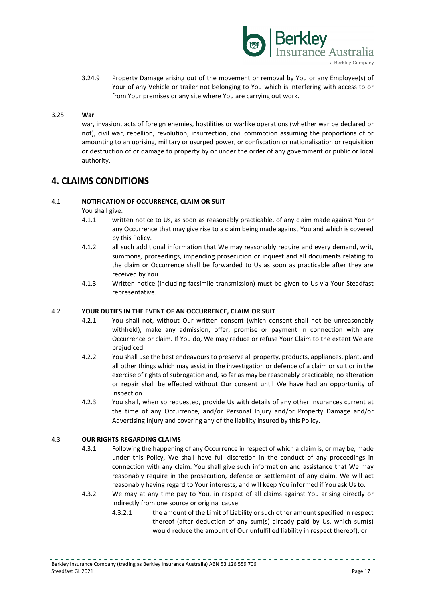

3.24.9 Property Damage arising out of the movement or removal by You or any Employee(s) of Your of any Vehicle or trailer not belonging to You which is interfering with access to or from Your premises or any site where You are carrying out work.

#### 3.25 **War**

war, invasion, acts of foreign enemies, hostilities or warlike operations (whether war be declared or not), civil war, rebellion, revolution, insurrection, civil commotion assuming the proportions of or amounting to an uprising, military or usurped power, or confiscation or nationalisation or requisition or destruction of or damage to property by or under the order of any government or public or local authority.

# **4. CLAIMS CONDITIONS**

#### 4.1 **NOTIFICATION OF OCCURRENCE, CLAIM OR SUIT**

You shall give:

- 4.1.1 written notice to Us, as soon as reasonably practicable, of any claim made against You or any Occurrence that may give rise to a claim being made against You and which is covered by this Policy.
- 4.1.2 all such additional information that We may reasonably require and every demand, writ, summons, proceedings, impending prosecution or inquest and all documents relating to the claim or Occurrence shall be forwarded to Us as soon as practicable after they are received by You.
- 4.1.3 Written notice (including facsimile transmission) must be given to Us via Your Steadfast representative.

#### 4.2 **YOUR DUTIES IN THE EVENT OF AN OCCURRENCE, CLAIM OR SUIT**

- 4.2.1 You shall not, without Our written consent (which consent shall not be unreasonably withheld), make any admission, offer, promise or payment in connection with any Occurrence or claim. If You do, We may reduce or refuse Your Claim to the extent We are prejudiced.
- 4.2.2 You shall use the best endeavours to preserve all property, products, appliances, plant, and all other things which may assist in the investigation or defence of a claim or suit or in the exercise of rights of subrogation and, so far as may be reasonably practicable, no alteration or repair shall be effected without Our consent until We have had an opportunity of inspection.
- 4.2.3 You shall, when so requested, provide Us with details of any other insurances current at the time of any Occurrence, and/or Personal Injury and/or Property Damage and/or Advertising Injury and covering any of the liability insured by this Policy.

#### 4.3 **OUR RIGHTS REGARDING CLAIMS**

- 4.3.1 Following the happening of any Occurrence in respect of which a claim is, or may be, made under this Policy, We shall have full discretion in the conduct of any proceedings in connection with any claim. You shall give such information and assistance that We may reasonably require in the prosecution, defence or settlement of any claim. We will act reasonably having regard to Your interests, and will keep You informed if You ask Us to.
- 4.3.2 We may at any time pay to You, in respect of all claims against You arising directly or indirectly from one source or original cause:
	- 4.3.2.1 the amount of the Limit of Liability or such other amount specified in respect thereof (after deduction of any sum(s) already paid by Us, which sum(s) would reduce the amount of Our unfulfilled liability in respect thereof); or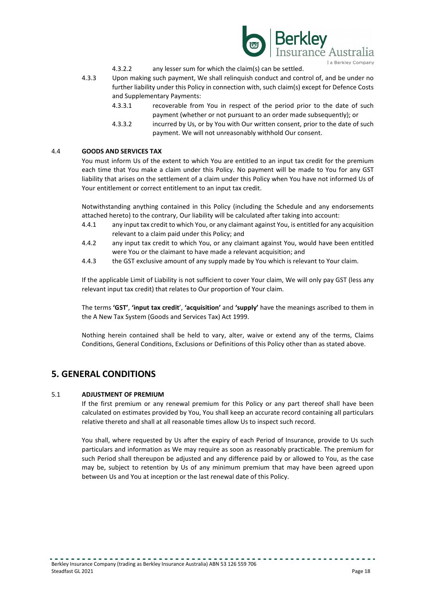

- 4.3.2.2 any lesser sum for which the claim(s) can be settled.
- 4.3.3 Upon making such payment, We shall relinquish conduct and control of, and be under no further liability under this Policy in connection with, such claim(s) except for Defence Costs and Supplementary Payments:
	- 4.3.3.1 recoverable from You in respect of the period prior to the date of such payment (whether or not pursuant to an order made subsequently); or
	- 4.3.3.2 incurred by Us, or by You with Our written consent, prior to the date of such payment. We will not unreasonably withhold Our consent.

#### 4.4 **GOODS AND SERVICES TAX**

You must inform Us of the extent to which You are entitled to an input tax credit for the premium each time that You make a claim under this Policy. No payment will be made to You for any GST liability that arises on the settlement of a claim under this Policy when You have not informed Us of Your entitlement or correct entitlement to an input tax credit.

Notwithstanding anything contained in this Policy (including the Schedule and any endorsements attached hereto) to the contrary, Our liability will be calculated after taking into account:

- 4.4.1 any input tax credit to which You, or any claimant against You, is entitled for any acquisition relevant to a claim paid under this Policy; and
- 4.4.2 any input tax credit to which You, or any claimant against You, would have been entitled were You or the claimant to have made a relevant acquisition; and
- 4.4.3 the GST exclusive amount of any supply made by You which is relevant to Your claim.

If the applicable Limit of Liability is not sufficient to cover Your claim, We will only pay GST (less any relevant input tax credit) that relates to Our proportion of Your claim.

The terms **'GST'**, **'input tax credit**', **'acquisition'** and **'supply'** have the meanings ascribed to them in the A New Tax System (Goods and Services Tax) Act 1999.

Nothing herein contained shall be held to vary, alter, waive or extend any of the terms, Claims Conditions, General Conditions, Exclusions or Definitions of this Policy other than as stated above.

# **5. GENERAL CONDITIONS**

#### 5.1 **ADJUSTMENT OF PREMIUM**

If the first premium or any renewal premium for this Policy or any part thereof shall have been calculated on estimates provided by You, You shall keep an accurate record containing all particulars relative thereto and shall at all reasonable times allow Us to inspect such record.

You shall, where requested by Us after the expiry of each Period of Insurance, provide to Us such particulars and information as We may require as soon as reasonably practicable. The premium for such Period shall thereupon be adjusted and any difference paid by or allowed to You, as the case may be, subject to retention by Us of any minimum premium that may have been agreed upon between Us and You at inception or the last renewal date of this Policy.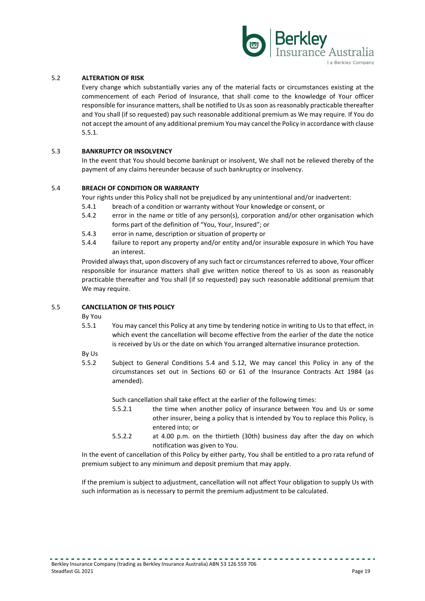

#### 5.2 **ALTERATION OF RISK**

Every change which substantially varies any of the material facts or circumstances existing at the commencement of each Period of Insurance, that shall come to the knowledge of Your officer responsible for insurance matters, shall be notified to Us as soon as reasonably practicable thereafter and You shall (if so requested) pay such reasonable additional premium as We may require. If You do not accept the amount of any additional premium You may cancel the Policy in accordance with clause 5.5.1.

#### 5.3 **BANKRUPTCY OR INSOLVENCY**

In the event that You should become bankrupt or insolvent, We shall not be relieved thereby of the payment of any claims hereunder because of such bankruptcy or insolvency.

#### 5.4 **BREACH OF CONDITION OR WARRANTY**

Your rights under this Policy shall not be prejudiced by any unintentional and/or inadvertent:

- 5.4.1 breach of a condition or warranty without Your knowledge or consent, or
- 5.4.2 error in the name or title of any person(s), corporation and/or other organisation which forms part of the definition of "You, Your, Insured"; or
- 5.4.3 error in name, description or situation of property or
- 5.4.4 failure to report any property and/or entity and/or insurable exposure in which You have an interest.

Provided always that, upon discovery of any such fact or circumstances referred to above, Your officer responsible for insurance matters shall give written notice thereof to Us as soon as reasonably practicable thereafter and You shall (if so requested) pay such reasonable additional premium that We may require.

#### 5.5 **CANCELLATION OF THIS POLICY**

By You

5.5.1 You may cancel this Policy at any time by tendering notice in writing to Us to that effect, in which event the cancellation will become effective from the earlier of the date the notice is received by Us or the date on which You arranged alternative insurance protection.

By Us

5.5.2 Subject to General Conditions 5.4 and 5.12, We may cancel this Policy in any of the circumstances set out in Sections 60 or 61 of the Insurance Contracts Act 1984 (as amended).

Such cancellation shall take effect at the earlier of the following times:

- 5.5.2.1 the time when another policy of insurance between You and Us or some other insurer, being a policy that is intended by You to replace this Policy, is entered into; or
- 5.5.2.2 at 4.00 p.m. on the thirtieth (30th) business day after the day on which notification was given to You.

In the event of cancellation of this Policy by either party, You shall be entitled to a pro rata refund of premium subject to any minimum and deposit premium that may apply.

If the premium is subject to adjustment, cancellation will not affect Your obligation to supply Us with such information as is necessary to permit the premium adjustment to be calculated.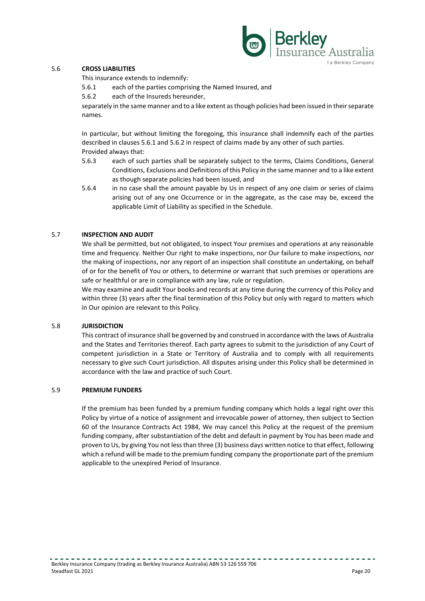

#### 5.6 **CROSS LIABILITIES**

This insurance extends to indemnify:

- 5.6.1 each of the parties comprising the Named Insured, and
- 5.6.2 each of the Insureds hereunder,

separately in the same manner and to a like extent as though policies had been issued in their separate names.

In particular, but without limiting the foregoing, this insurance shall indemnify each of the parties described in clauses 5.6.1 and 5.6.2 in respect of claims made by any other of such parties. Provided always that:

- 5.6.3 each of such parties shall be separately subject to the terms, Claims Conditions, General Conditions, Exclusions and Definitions of this Policy in the same manner and to a like extent as though separate policies had been issued, and
- 5.6.4 in no case shall the amount payable by Us in respect of any one claim or series of claims arising out of any one Occurrence or in the aggregate, as the case may be, exceed the applicable Limit of Liability as specified in the Schedule.

#### 5.7 **INSPECTION AND AUDIT**

We shall be permitted, but not obligated, to inspect Your premises and operations at any reasonable time and frequency. Neither Our right to make inspections, nor Our failure to make inspections, nor the making of inspections, nor any report of an inspection shall constitute an undertaking, on behalf of or for the benefit of You or others, to determine or warrant that such premises or operations are safe or healthful or are in compliance with any law, rule or regulation.

We may examine and audit Your books and records at any time during the currency of this Policy and within three (3) years after the final termination of this Policy but only with regard to matters which in Our opinion are relevant to this Policy.

#### 5.8 **JURISDICTION**

This contract of insurance shall be governed by and construed in accordance with the laws of Australia and the States and Territories thereof. Each party agrees to submit to the jurisdiction of any Court of competent jurisdiction in a State or Territory of Australia and to comply with all requirements necessary to give such Court jurisdiction. All disputes arising under this Policy shall be determined in accordance with the law and practice of such Court.

#### 5.9 **PREMIUM FUNDERS**

If the premium has been funded by a premium funding company which holds a legal right over this Policy by virtue of a notice of assignment and irrevocable power of attorney, then subject to Section 60 of the Insurance Contracts Act 1984, We may cancel this Policy at the request of the premium funding company, after substantiation of the debt and default in payment by You has been made and proven to Us, by giving You not less than three (3) business days written notice to that effect, following which a refund will be made to the premium funding company the proportionate part of the premium applicable to the unexpired Period of Insurance.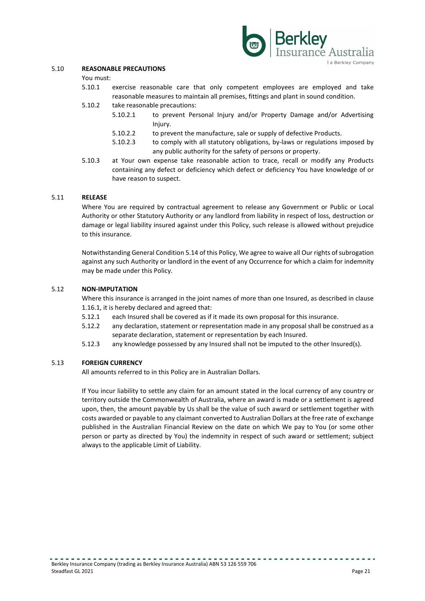

#### 5.10 **REASONABLE PRECAUTIONS**

You must:

- 5.10.1 exercise reasonable care that only competent employees are employed and take reasonable measures to maintain all premises, fittings and plant in sound condition.
- 5.10.2 take reasonable precautions:
	- 5.10.2.1 to prevent Personal Injury and/or Property Damage and/or Advertising Injury.
	- 5.10.2.2 to prevent the manufacture, sale or supply of defective Products.
	- 5.10.2.3 to comply with all statutory obligations, by-laws or regulations imposed by any public authority for the safety of persons or property.
- 5.10.3 at Your own expense take reasonable action to trace, recall or modify any Products containing any defect or deficiency which defect or deficiency You have knowledge of or have reason to suspect.

#### 5.11 **RELEASE**

Where You are required by contractual agreement to release any Government or Public or Local Authority or other Statutory Authority or any landlord from liability in respect of loss, destruction or damage or legal liability insured against under this Policy, such release is allowed without prejudice to this insurance.

Notwithstanding General Condition 5.14 of this Policy, We agree to waive all Our rights of subrogation against any such Authority or landlord in the event of any Occurrence for which a claim for indemnity may be made under this Policy.

#### 5.12 **NON-IMPUTATION**

Where this insurance is arranged in the joint names of more than one Insured, as described in clause 1.16.1, it is hereby declared and agreed that:

- 5.12.1 each Insured shall be covered as if it made its own proposal for this insurance.
- 5.12.2 any declaration, statement or representation made in any proposal shall be construed as a separate declaration, statement or representation by each Insured.
- 5.12.3 any knowledge possessed by any Insured shall not be imputed to the other Insured(s).

#### 5.13 **FOREIGN CURRENCY**

All amounts referred to in this Policy are in Australian Dollars.

If You incur liability to settle any claim for an amount stated in the local currency of any country or territory outside the Commonwealth of Australia, where an award is made or a settlement is agreed upon, then, the amount payable by Us shall be the value of such award or settlement together with costs awarded or payable to any claimant converted to Australian Dollars at the free rate of exchange published in the Australian Financial Review on the date on which We pay to You (or some other person or party as directed by You) the indemnity in respect of such award or settlement; subject always to the applicable Limit of Liability.